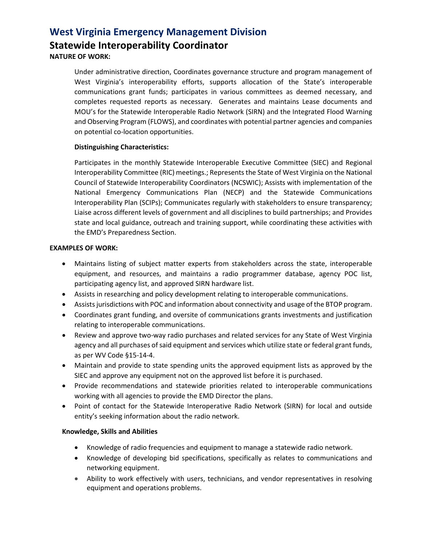## **West Virginia Emergency Management Division Statewide Interoperability Coordinator NATURE OF WORK:**

Under administrative direction, Coordinates governance structure and program management of West Virginia's interoperability efforts, supports allocation of the State's interoperable communications grant funds; participates in various committees as deemed necessary, and completes requested reports as necessary. Generates and maintains Lease documents and MOU's for the Statewide Interoperable Radio Network (SIRN) and the Integrated Flood Warning and Observing Program (FLOWS), and coordinates with potential partner agencies and companies on potential co-location opportunities.

#### **Distinguishing Characteristics:**

Participates in the monthly Statewide Interoperable Executive Committee (SIEC) and Regional Interoperability Committee (RIC) meetings.; Represents the State of West Virginia on the National Council of Statewide Interoperability Coordinators (NCSWIC); Assists with implementation of the National Emergency Communications Plan (NECP) and the Statewide Communications Interoperability Plan (SCIPs); Communicates regularly with stakeholders to ensure transparency; Liaise across different levels of government and all disciplines to build partnerships; and Provides state and local guidance, outreach and training support, while coordinating these activities with the EMD's Preparedness Section.

#### **EXAMPLES OF WORK:**

- Maintains listing of subject matter experts from stakeholders across the state, interoperable equipment, and resources, and maintains a radio programmer database, agency POC list, participating agency list, and approved SIRN hardware list.
- Assists in researching and policy development relating to interoperable communications.
- Assists jurisdictions with POC and information about connectivity and usage of the BTOP program.
- Coordinates grant funding, and oversite of communications grants investments and justification relating to interoperable communications.
- Review and approve two-way radio purchases and related services for any State of West Virginia agency and all purchases of said equipment and services which utilize state or federal grant funds, as per WV Code §15-14-4.
- Maintain and provide to state spending units the approved equipment lists as approved by the SIEC and approve any equipment not on the approved list before it is purchased.
- Provide recommendations and statewide priorities related to interoperable communications working with all agencies to provide the EMD Director the plans.
- Point of contact for the Statewide Interoperative Radio Network (SIRN) for local and outside entity's seeking information about the radio network.

#### **Knowledge, Skills and Abilities**

- Knowledge of radio frequencies and equipment to manage a statewide radio network.
- Knowledge of developing bid specifications, specifically as relates to communications and networking equipment.
- Ability to work effectively with users, technicians, and vendor representatives in resolving equipment and operations problems.